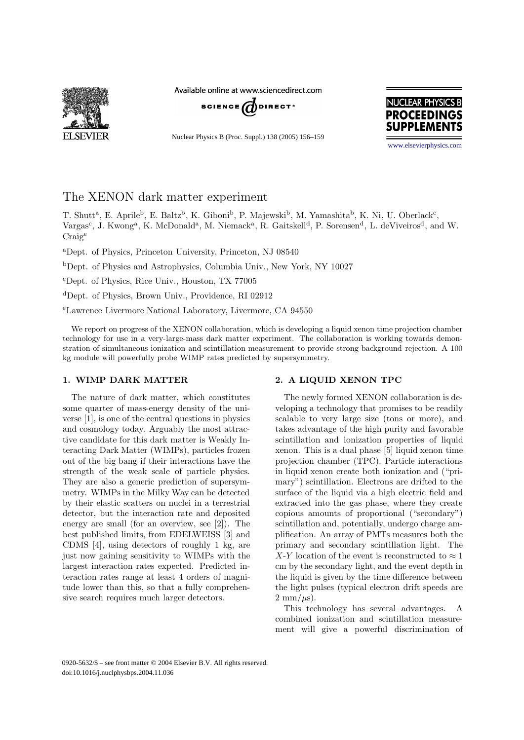

Available online at www.sciencedirect.com



Nuclear Physics B (Proc. Suppl.) 138 (2005) 156–159



[www.elsevierphysics.com](http://www.elsevierphysics.com)

# The XENON dark matter experiment

T. Shutt<sup>a</sup>, E. Aprile<sup>b</sup>, E. Baltz<sup>b</sup>, K. Giboni<sup>b</sup>, P. Majewski<sup>b</sup>, M. Yamashita<sup>b</sup>, K. Ni, U. Oberlack<sup>c</sup>, Vargas<sup>c</sup>, J. Kwong<sup>a</sup>, K. McDonald<sup>a</sup>, M. Niemack<sup>a</sup>, R. Gaitskell<sup>d</sup>, P. Sorensen<sup>d</sup>, L. deViveiros<sup>d</sup>, and W. Craig<sup>e</sup>

<sup>a</sup>Dept. of Physics, Princeton University, Princeton, NJ 08540

<sup>b</sup>Dept. of Physics and Astrophysics, Columbia Univ., New York, NY 10027

<sup>c</sup>Dept. of Physics, Rice Univ., Houston, TX 77005

<sup>d</sup>Dept. of Physics, Brown Univ., Providence, RI 02912

<sup>e</sup>Lawrence Livermore National Laboratory, Livermore, CA 94550

We report on progress of the XENON collaboration, which is developing a liquid xenon time projection chamber technology for use in a very-large-mass dark matter experiment. The collaboration is working towards demonstration of simultaneous ionization and scintillation measurement to provide strong background rejection. A 100 kg module will powerfully probe WIMP rates predicted by supersymmetry.

## **1. WIMP DARK MATTER**

The nature of dark matter, which constitutes some quarter of mass-energy density of the universe [1], is one of the central questions in physics and cosmology today. Arguably the most attractive candidate for this dark matter is Weakly Interacting Dark Matter (WIMPs), particles frozen out of the big bang if their interactions have the strength of the weak scale of particle physics. They are also a generic prediction of supersymmetry. WIMPs in the Milky Way can be detected by their elastic scatters on nuclei in a terrestrial detector, but the interaction rate and deposited energy are small (for an overview, see [2]). The best published limits, from EDELWEISS [3] and CDMS [4], using detectors of roughly 1 kg, are just now gaining sensitivity to WIMPs with the largest interaction rates expected. Predicted interaction rates range at least 4 orders of magnitude lower than this, so that a fully comprehensive search requires much larger detectors.

## **2. A LIQUID XENON TPC**

The newly formed XENON collaboration is developing a technology that promises to be readily scalable to very large size (tons or more), and takes advantage of the high purity and favorable scintillation and ionization properties of liquid xenon. This is a dual phase [5] liquid xenon time projection chamber (TPC). Particle interactions in liquid xenon create both ionization and ("primary") scintillation. Electrons are drifted to the surface of the liquid via a high electric field and extracted into the gas phase, where they create copious amounts of proportional ("secondary") scintillation and, potentially, undergo charge amplification. An array of PMTs measures both the primary and secondary scintillation light. The X-Y location of the event is reconstructed to  $\approx 1$ cm by the secondary light, and the event depth in the liquid is given by the time difference between the light pulses (typical electron drift speeds are  $2 \text{ mm}/\mu\text{s}$ ).

This technology has several advantages. A combined ionization and scintillation measurement will give a powerful discrimination of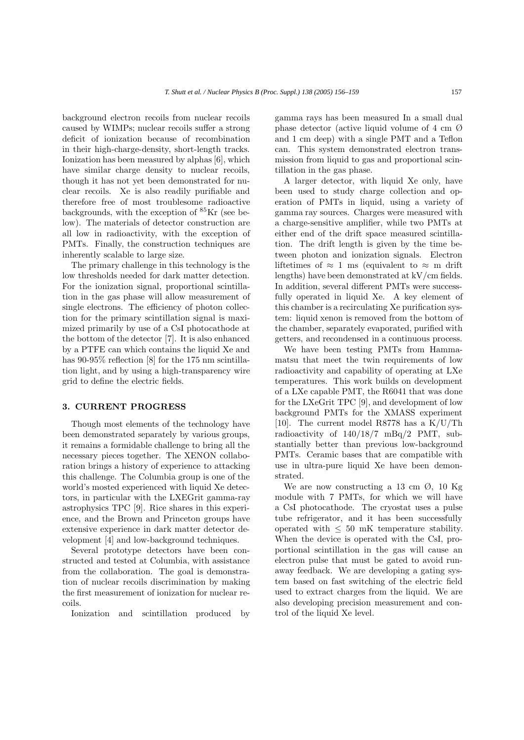background electron recoils from nuclear recoils caused by WIMPs; nuclear recoils suffer a strong deficit of ionization because of recombination in their high-charge-density, short-length tracks. Ionization has been measured by alphas [6], which have similar charge density to nuclear recoils, though it has not yet been demonstrated for nuclear recoils. Xe is also readily purifiable and therefore free of most troublesome radioactive backgrounds, with the exception of  ${}^{85}$ Kr (see below). The materials of detector construction are all low in radioactivity, with the exception of

inherently scalable to large size. The primary challenge in this technology is the low thresholds needed for dark matter detection. For the ionization signal, proportional scintillation in the gas phase will allow measurement of single electrons. The efficiency of photon collection for the primary scintillation signal is maximized primarily by use of a CsI photocathode at the bottom of the detector [7]. It is also enhanced by a PTFE can which contains the liquid Xe and has 90-95% reflection [8] for the 175 nm scintillation light, and by using a high-transparency wire grid to define the electric fields.

PMTs. Finally, the construction techniques are

### **3. CURRENT PROGRESS**

Though most elements of the technology have been demonstrated separately by various groups, it remains a formidable challenge to bring all the necessary pieces together. The XENON collaboration brings a history of experience to attacking this challenge. The Columbia group is one of the world's mosted experienced with liquid Xe detectors, in particular with the LXEGrit gamma-ray astrophysics TPC [9]. Rice shares in this experience, and the Brown and Princeton groups have extensive experience in dark matter detector development [4] and low-background techniques.

Several prototype detectors have been constructed and tested at Columbia, with assistance from the collaboration. The goal is demonstration of nuclear recoils discrimination by making the first measurement of ionization for nuclear recoils.

Ionization and scintillation produced by

gamma rays has been measured In a small dual phase detector (active liquid volume of 4 cm Ø and 1 cm deep) with a single PMT and a Teflon can. This system demonstrated electron transmission from liquid to gas and proportional scintillation in the gas phase.

A larger detector, with liquid Xe only, have been used to study charge collection and operation of PMTs in liquid, using a variety of gamma ray sources. Charges were measured with a charge-sensitive amplifier, while two PMTs at either end of the drift space measured scintillation. The drift length is given by the time between photon and ionization signals. Electron liftetimes of  $\approx 1$  ms (equivalent to  $\approx$  m drift lengths) have been demonstrated at kV/cm fields. In addition, several different PMTs were successfully operated in liquid Xe. A key element of this chamber is a recirculating Xe purification system: liquid xenon is removed from the bottom of the chamber, separately evaporated, purified with getters, and recondensed in a continuous process.

We have been testing PMTs from Hammamatsu that meet the twin requirements of low radioactivity and capability of operating at LXe temperatures. This work builds on development of a LXe capable PMT, the R6041 that was done for the LXeGrit TPC [9], and development of low background PMTs for the XMASS experiment [10]. The current model R8778 has a  $K/U/Th$ radioactivity of 140/18/7 mBq/2 PMT, substantially better than previous low-background PMTs. Ceramic bases that are compatible with use in ultra-pure liquid Xe have been demonstrated.

We are now constructing a 13 cm  $\varnothing$ , 10 Kg module with 7 PMTs, for which we will have a CsI photocathode. The cryostat uses a pulse tube refrigerator, and it has been successfully operated with  $\leq 50$  mK temperature stability. When the device is operated with the CsI, proportional scintillation in the gas will cause an electron pulse that must be gated to avoid runaway feedback. We are developing a gating system based on fast switching of the electric field used to extract charges from the liquid. We are also developing precision measurement and control of the liquid Xe level.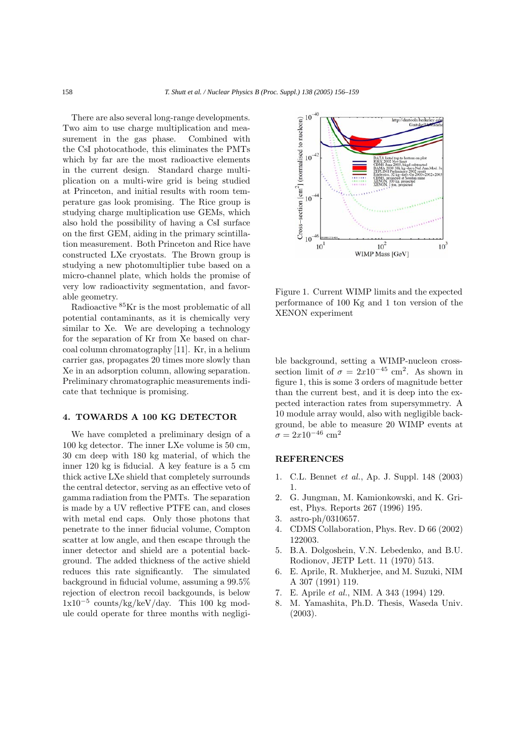There are also several long-range developments. Two aim to use charge multiplication and measurement in the gas phase. Combined with the CsI photocathode, this eliminates the PMTs which by far are the most radioactive elements in the current design. Standard charge multiplication on a multi-wire grid is being studied at Princeton, and initial results with room temperature gas look promising. The Rice group is studying charge multiplication use GEMs, which also hold the possibility of having a CsI surface on the first GEM, aiding in the primary scintillation measurement. Both Princeton and Rice have constructed LXe cryostats. The Brown group is studying a new photomultiplier tube based on a micro-channel plate, which holds the promise of very low radioactivity segmentation, and favorable geometry.

Radioactive <sup>85</sup>Kr is the most problematic of all potential contaminants, as it is chemically very similar to Xe. We are developing a technology for the separation of Kr from Xe based on charcoal column chromatography [11]. Kr, in a helium carrier gas, propagates 20 times more slowly than Xe in an adsorption column, allowing separation. Preliminary chromatographic measurements indicate that technique is promising.

#### **4. TOWARDS A 100 KG DETECTOR**

We have completed a preliminary design of a 100 kg detector. The inner LXe volume is 50 cm, 30 cm deep with 180 kg material, of which the inner 120 kg is fiducial. A key feature is a 5 cm thick active LXe shield that completely surrounds the central detector, serving as an effective veto of gamma radiation from the PMTs. The separation is made by a UV reflective PTFE can, and closes with metal end caps. Only those photons that penetrate to the inner fiducial volume, Compton scatter at low angle, and then escape through the inner detector and shield are a potential background. The added thickness of the active shield reduces this rate significantly. The simulated background in fiducial volume, assuming a 99.5% rejection of electron recoil backgounds, is below 1x10*−*<sup>5</sup> counts/kg/keV/day. This 100 kg module could operate for three months with negligi-



Figure 1. Current WIMP limits and the expected performance of 100 Kg and 1 ton version of the XENON experiment

ble background, setting a WIMP-nucleon crosssection limit of  $\sigma = 2x10^{-45}$  cm<sup>2</sup>. As shown in figure 1, this is some 3 orders of magnitude better than the current best, and it is deep into the expected interaction rates from supersymmetry. A 10 module array would, also with negligible background, be able to measure 20 WIMP events at  $\sigma=2x10^{-46}~\mathrm{cm}^2$ 

#### **REFERENCES**

- 1. C.L. Bennet *et al.*, Ap. J. Suppl. 148 (2003) 1.
- 2. G. Jungman, M. Kamionkowski, and K. Griest, Phys. Reports 267 (1996) 195.
- 3. astro-ph/0310657.
- 4. CDMS Collaboration, Phys. Rev. D 66 (2002) 122003.
- 5. B.A. Dolgoshein, V.N. Lebedenko, and B.U. Rodionov, JETP Lett. 11 (1970) 513.
- 6. E. Aprile, R. Mukherjee, and M. Suzuki, NIM A 307 (1991) 119.
- 7. E. Aprile *et al.*, NIM. A 343 (1994) 129.
- 8. M. Yamashita, Ph.D. Thesis, Waseda Univ. (2003).